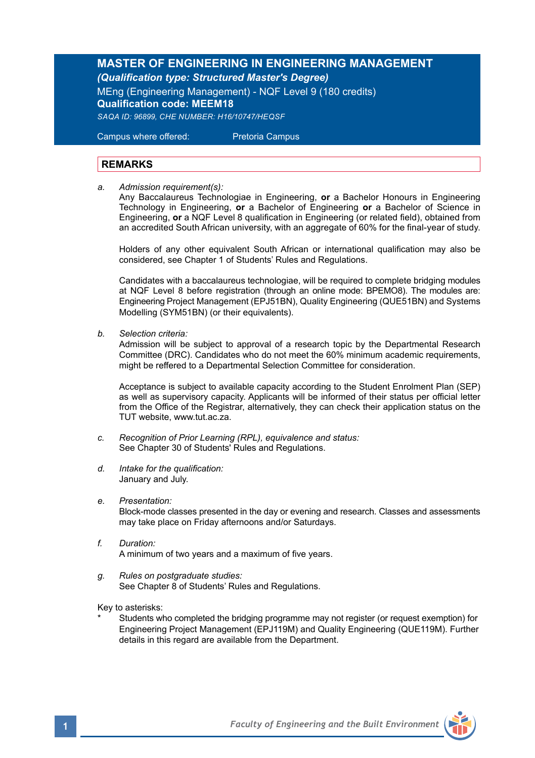## **MASTER OF ENGINEERING IN ENGINEERING MANAGEMENT**  *(Qualification type: Structured Master's Degree)*

MEng (Engineering Management) - NQF Level 9 (180 credits) **Qualification code: MEEM18**

*SAQA ID: 96899, CHE NUMBER: H16/10747/HEQSF*

Campus where offered: Pretoria Campus

### **REMARKS**

*a. Admission requirement(s):* 

Any Baccalaureus Technologiae in Engineering, **or** a Bachelor Honours in Engineering Technology in Engineering, **or** a Bachelor of Engineering **or** a Bachelor of Science in Engineering, **or** a NQF Level 8 qualification in Engineering (or related field), obtained from an accredited South African university, with an aggregate of 60% for the final-year of study.

Holders of any other equivalent South African or international qualification may also be considered, see Chapter 1 of Students' Rules and Regulations.

Candidates with a baccalaureus technologiae, will be required to complete bridging modules at NQF Level 8 before registration (through an online mode: BPEMO8). The modules are: Engineering Project Management (EPJ51BN), Quality Engineering (QUE51BN) and Systems Modelling (SYM51BN) (or their equivalents).

*b. Selection criteria:*

Admission will be subject to approval of a research topic by the Departmental Research Committee (DRC). Candidates who do not meet the 60% minimum academic requirements, might be reffered to a Departmental Selection Committee for consideration.

Acceptance is subject to available capacity according to the Student Enrolment Plan (SEP) as well as supervisory capacity. Applicants will be informed of their status per official letter from the Office of the Registrar, alternatively, they can check their application status on the TUT website, www.tut.ac.za.

- *c. Recognition of Prior Learning (RPL), equivalence and status:* See Chapter 30 of Students' Rules and Regulations.
- *d. Intake for the qualification:* January and July.
- *e. Presentation:*

Block-mode classes presented in the day or evening and research. Classes and assessments may take place on Friday afternoons and/or Saturdays.

- *f. Duration:* A minimum of two years and a maximum of five years.
- *g. Rules on postgraduate studies:* See Chapter 8 of Students' Rules and Regulations.

Key to asterisks:

Students who completed the bridging programme may not register (or request exemption) for Engineering Project Management (EPJ119M) and Quality Engineering (QUE119M). Further details in this regard are available from the Department.

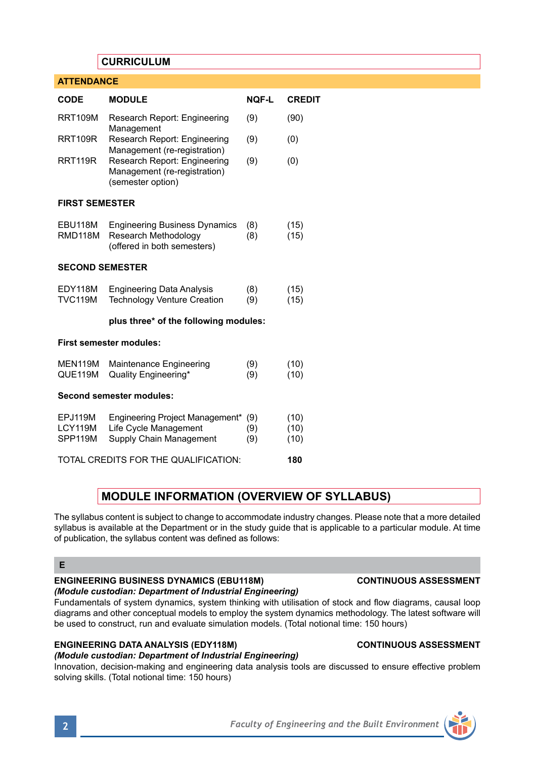## **CURRICULUM**

| <b>ATTENDANCE</b>                    |                                                                                                                   |                   |                      |
|--------------------------------------|-------------------------------------------------------------------------------------------------------------------|-------------------|----------------------|
| <b>CODE</b>                          | <b>MODULE</b>                                                                                                     | <b>NOF-L</b>      | <b>CREDIT</b>        |
| <b>RRT109M</b>                       | Research Report: Engineering<br>Management                                                                        | (9)               | (90)                 |
| <b>RRT109R</b>                       | Research Report: Engineering                                                                                      | (9)               | (0)                  |
| <b>RRT119R</b>                       | Management (re-registration)<br>Research Report: Engineering<br>Management (re-registration)<br>(semester option) | (9)               | (0)                  |
| <b>FIRST SEMESTER</b>                |                                                                                                                   |                   |                      |
| EBU118M<br>RMD118M                   | <b>Engineering Business Dynamics</b><br>Research Methodology<br>(offered in both semesters)                       | (8)<br>(8)        | (15)<br>(15)         |
| <b>SECOND SEMESTER</b>               |                                                                                                                   |                   |                      |
| EDY118M<br><b>TVC119M</b>            | <b>Engineering Data Analysis</b><br><b>Technology Venture Creation</b>                                            | (8)<br>(9)        | (15)<br>(15)         |
|                                      | plus three* of the following modules:                                                                             |                   |                      |
| <b>First semester modules:</b>       |                                                                                                                   |                   |                      |
| MEN119M<br>QUE119M                   | Maintenance Engineering<br>Quality Engineering*                                                                   | (9)<br>(9)        | (10)<br>(10)         |
| Second semester modules:             |                                                                                                                   |                   |                      |
| EPJ119M<br><b>LCY119M</b><br>SPP119M | Engineering Project Management*<br>Life Cycle Management<br>Supply Chain Management                               | (9)<br>(9)<br>(9) | (10)<br>(10)<br>(10) |
| TOTAL CREDITS FOR THE QUALIFICATION: |                                                                                                                   |                   |                      |

# **MODULE INFORMATION (OVERVIEW OF SYLLABUS)**

The syllabus content is subject to change to accommodate industry changes. Please note that a more detailed syllabus is available at the Department or in the study guide that is applicable to a particular module. At time of publication, the syllabus content was defined as follows:

#### **E**

#### **ENGINEERING BUSINESS DYNAMICS (EBU118M) CONTINUOUS ASSESSMENT** *(Module custodian: Department of Industrial Engineering)*

## Fundamentals of system dynamics, system thinking with utilisation of stock and flow diagrams, causal loop diagrams and other conceptual models to employ the system dynamics methodology. The latest software will

be used to construct, run and evaluate simulation models. (Total notional time: 150 hours)

## **ENGINEERING DATA ANALYSIS (EDY118M) CONTINUOUS ASSESSMENT**

## *(Module custodian: Department of Industrial Engineering)*

Innovation, decision-making and engineering data analysis tools are discussed to ensure effective problem solving skills. (Total notional time: 150 hours)

**2** *Faculty of Engineering and the Built Environment*

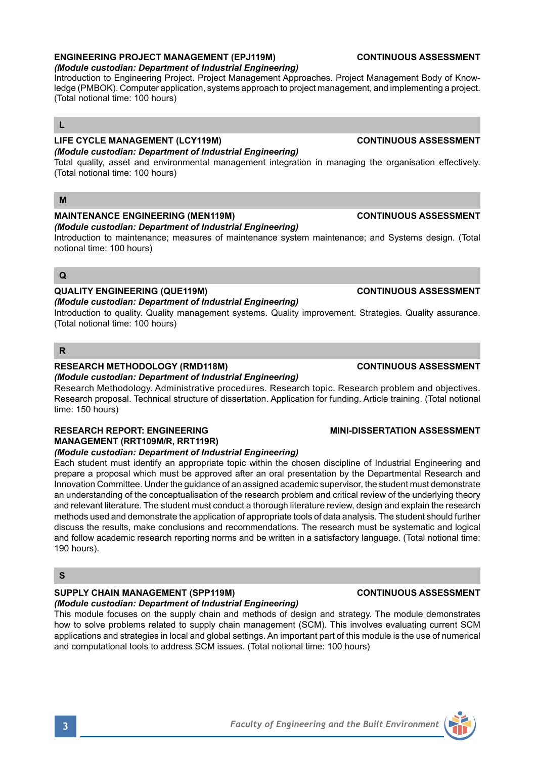## **ENGINEERING PROJECT MANAGEMENT (EPJ119M) CONTINUOUS ASSESSMENT**

*(Module custodian: Department of Industrial Engineering)*

Introduction to Engineering Project. Project Management Approaches. Project Management Body of Knowledge (PMBOK). Computer application, systems approach to project management, and implementing a project. (Total notional time: 100 hours)

## **L**

## **LIFE CYCLE MANAGEMENT (LCY119M) CONTINUOUS ASSESSMENT**

## *(Module custodian: Department of Industrial Engineering)*

Total quality, asset and environmental management integration in managing the organisation effectively. (Total notional time: 100 hours)

### **M**

## **MAINTENANCE ENGINEERING (MEN119M) CONTINUOUS ASSESSMENT**

### *(Module custodian: Department of Industrial Engineering)*

Introduction to maintenance; measures of maintenance system maintenance; and Systems design. (Total notional time: 100 hours)

## **Q**

### **QUALITY ENGINEERING (QUE119M) CONTINUOUS ASSESSMENT**

*(Module custodian: Department of Industrial Engineering)*

Introduction to quality. Quality management systems. Quality improvement. Strategies. Quality assurance. (Total notional time: 100 hours)

### **R**

#### **RESEARCH METHODOLOGY (RMD118M) CONTINUOUS ASSESSMENT**

#### *(Module custodian: Department of Industrial Engineering)*

Research Methodology. Administrative procedures. Research topic. Research problem and objectives. Research proposal. Technical structure of dissertation. Application for funding. Article training. (Total notional time: 150 hours)

#### **RESEARCH REPORT: ENGINEERING MINI-DISSERTATION ASSESSMENT MANAGEMENT (RRT109M/R, RRT119R)**  *(Module custodian: Department of Industrial Engineering)*

Each student must identify an appropriate topic within the chosen discipline of Industrial Engineering and prepare a proposal which must be approved after an oral presentation by the Departmental Research and Innovation Committee. Under the guidance of an assigned academic supervisor, the student must demonstrate an understanding of the conceptualisation of the research problem and critical review of the underlying theory and relevant literature. The student must conduct a thorough literature review, design and explain the research methods used and demonstrate the application of appropriate tools of data analysis. The student should further discuss the results, make conclusions and recommendations. The research must be systematic and logical and follow academic research reporting norms and be written in a satisfactory language. (Total notional time: 190 hours).

## **S**

## **SUPPLY CHAIN MANAGEMENT (SPP119M) CONTINUOUS ASSESSMENT**

## *(Module custodian: Department of Industrial Engineering)*

This module focuses on the supply chain and methods of design and strategy. The module demonstrates how to solve problems related to supply chain management (SCM). This involves evaluating current SCM applications and strategies in local and global settings. An important part of this module is the use of numerical and computational tools to address SCM issues. (Total notional time: 100 hours)